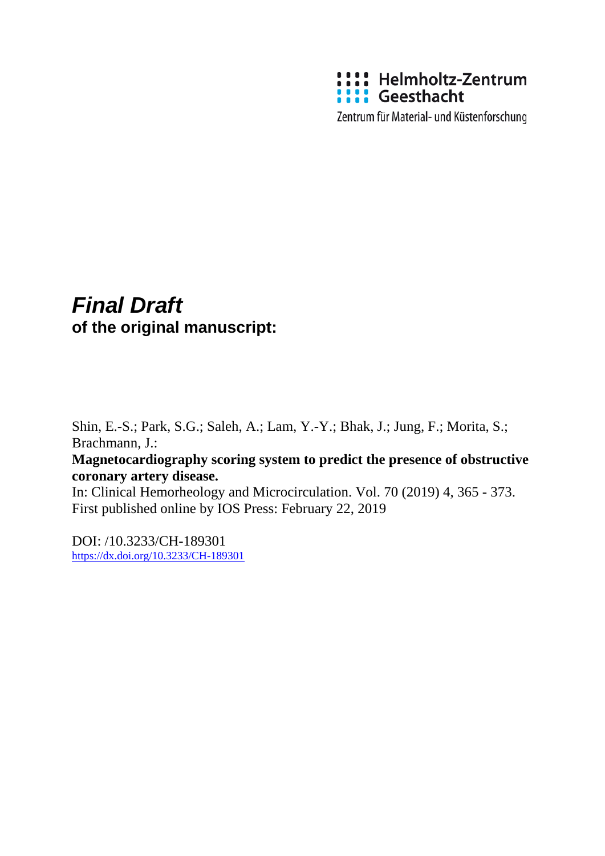

Zentrum für Material- und Küstenforschung

# *Final Draft*  **of the original manuscript:**

Shin, E.-S.; Park, S.G.; Saleh, A.; Lam, Y.-Y.; Bhak, J.; Jung, F.; Morita, S.; Brachmann, J.:

## **Magnetocardiography scoring system to predict the presence of obstructive coronary artery disease.**

In: Clinical Hemorheology and Microcirculation. Vol. 70 (2019) 4, 365 - 373. First published online by IOS Press: February 22, 2019

DOI: /10.3233/CH-189301 <https://dx.doi.org/10.3233/CH-189301>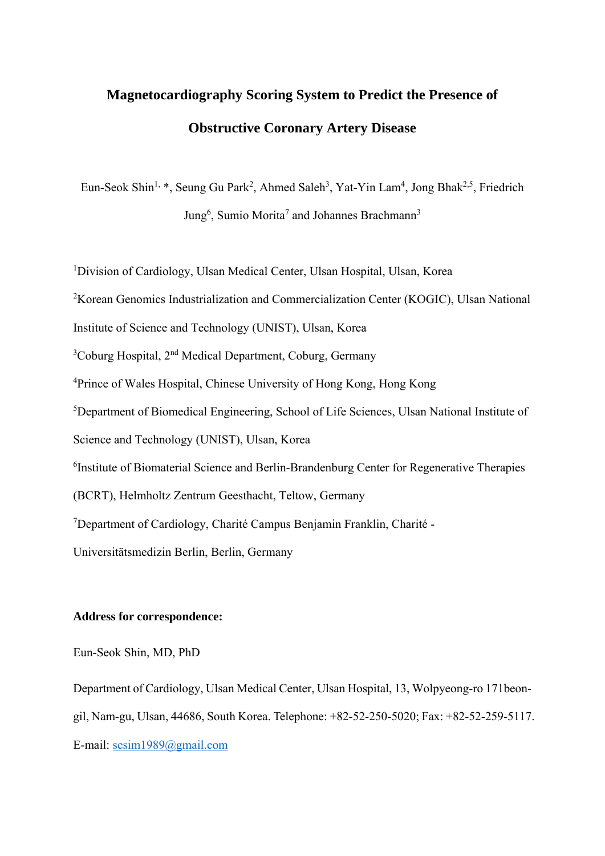# **Magnetocardiography Scoring System to Predict the Presence of Obstructive Coronary Artery Disease**

Eun-Seok Shin<sup>1,</sup> \*, Seung Gu Park<sup>2</sup>, Ahmed Saleh<sup>3</sup>, Yat-Yin Lam<sup>4</sup>, Jong Bhak<sup>2,5</sup>, Friedrich Jung<sup>6</sup>, Sumio Morita<sup>7</sup> and Johannes Brachmann<sup>3</sup>

<sup>1</sup>Division of Cardiology, Ulsan Medical Center, Ulsan Hospital, Ulsan, Korea

<sup>2</sup>Korean Genomics Industrialization and Commercialization Center (KOGIC), Ulsan National

Institute of Science and Technology (UNIST), Ulsan, Korea

<sup>3</sup>Coburg Hospital, 2<sup>nd</sup> Medical Department, Coburg, Germany

<sup>4</sup>Prince of Wales Hospital, Chinese University of Hong Kong, Hong Kong

<sup>5</sup>Department of Biomedical Engineering, School of Life Sciences, Ulsan National Institute of

Science and Technology (UNIST), Ulsan, Korea

<sup>6</sup>Institute of Biomaterial Science and Berlin-Brandenburg Center for Regenerative Therapies

(BCRT), Helmholtz Zentrum Geesthacht, Teltow, Germany

<sup>7</sup>Department of Cardiology, Charité Campus Benjamin Franklin, Charité -

Universitätsmedizin Berlin, Berlin, Germany

## **Address for correspondence:**

Eun-Seok Shin, MD, PhD

Department of Cardiology, Ulsan Medical Center, Ulsan Hospital, 13, Wolpyeong-ro 171beongil, Nam-gu, Ulsan, 44686, South Korea. Telephone: +82-52-250-5020; Fax: +82-52-259-5117. E-mail: sesim1989@gmail.com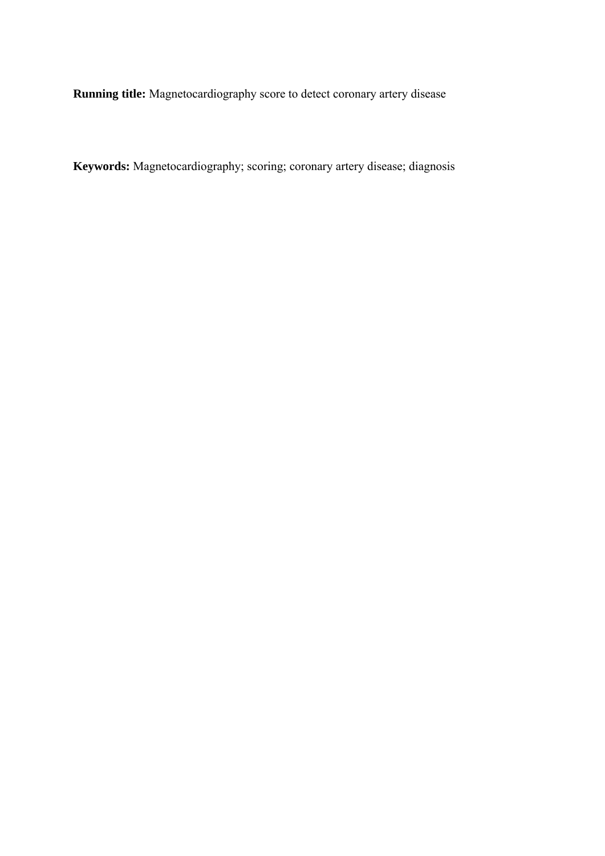**Running title:** Magnetocardiography score to detect coronary artery disease

**Keywords:** Magnetocardiography; scoring; coronary artery disease; diagnosis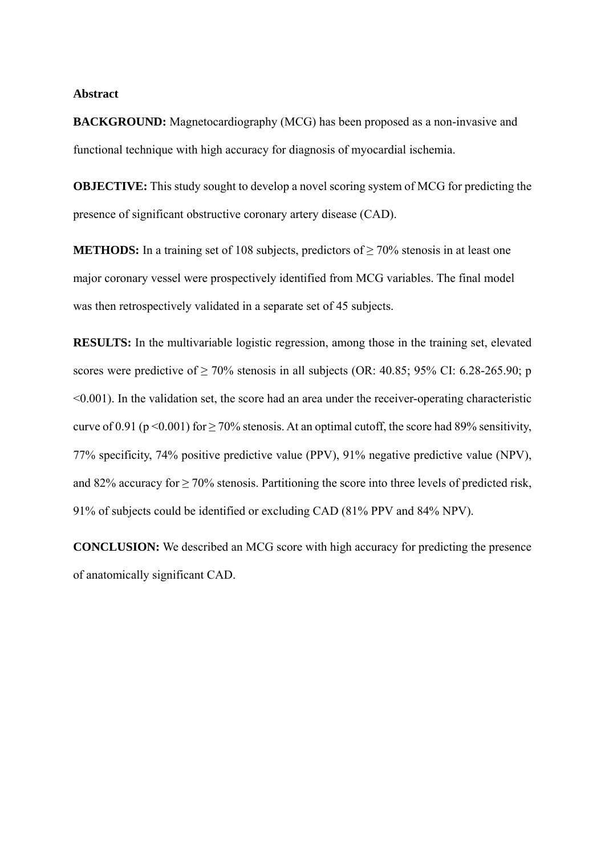### **Abstract**

**BACKGROUND:** Magnetocardiography (MCG) has been proposed as a non-invasive and functional technique with high accuracy for diagnosis of myocardial ischemia.

**OBJECTIVE:** This study sought to develop a novel scoring system of MCG for predicting the presence of significant obstructive coronary artery disease (CAD).

**METHODS:** In a training set of 108 subjects, predictors of  $\geq$  70% stenosis in at least one major coronary vessel were prospectively identified from MCG variables. The final model was then retrospectively validated in a separate set of 45 subjects.

**RESULTS:** In the multivariable logistic regression, among those in the training set, elevated scores were predictive of  $\geq 70\%$  stenosis in all subjects (OR: 40.85; 95% CI: 6.28-265.90; p <0.001). In the validation set, the score had an area under the receiver-operating characteristic curve of 0.91 (p < 0.001) for  $\geq$  70% stenosis. At an optimal cutoff, the score had 89% sensitivity, 77% specificity, 74% positive predictive value (PPV), 91% negative predictive value (NPV), and 82% accuracy for  $\geq$  70% stenosis. Partitioning the score into three levels of predicted risk, 91% of subjects could be identified or excluding CAD (81% PPV and 84% NPV).

**CONCLUSION:** We described an MCG score with high accuracy for predicting the presence of anatomically significant CAD.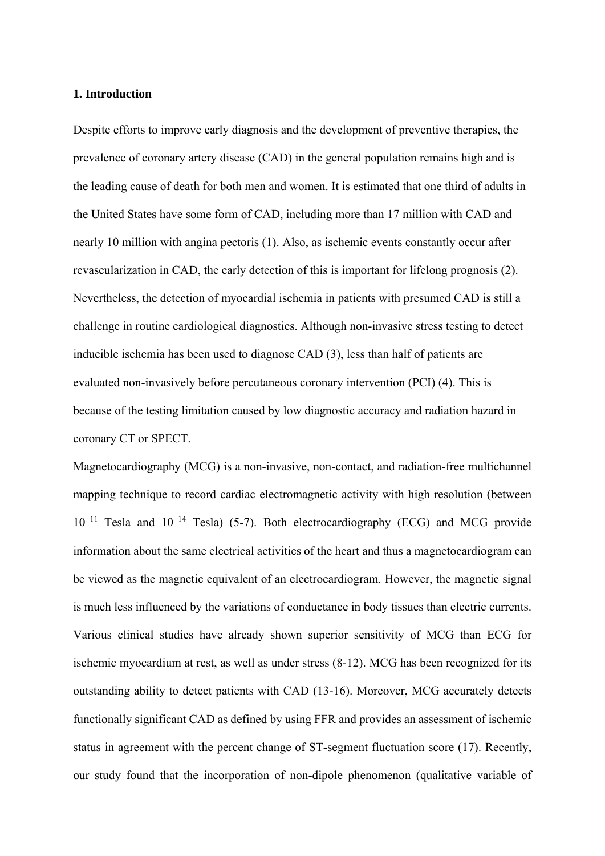## **1. Introduction**

Despite efforts to improve early diagnosis and the development of preventive therapies, the prevalence of coronary artery disease (CAD) in the general population remains high and is the leading cause of death for both men and women. It is estimated that one third of adults in the United States have some form of CAD, including more than 17 million with CAD and nearly 10 million with angina pectoris (1). Also, as ischemic events constantly occur after revascularization in CAD, the early detection of this is important for lifelong prognosis (2). Nevertheless, the detection of myocardial ischemia in patients with presumed CAD is still a challenge in routine cardiological diagnostics. Although non-invasive stress testing to detect inducible ischemia has been used to diagnose CAD (3), less than half of patients are evaluated non-invasively before percutaneous coronary intervention (PCI) (4). This is because of the testing limitation caused by low diagnostic accuracy and radiation hazard in coronary CT or SPECT.

Magnetocardiography (MCG) is a non-invasive, non-contact, and radiation-free multichannel mapping technique to record cardiac electromagnetic activity with high resolution (between  $10^{-11}$  Tesla and  $10^{-14}$  Tesla) (5-7). Both electrocardiography (ECG) and MCG provide information about the same electrical activities of the heart and thus a magnetocardiogram can be viewed as the magnetic equivalent of an electrocardiogram. However, the magnetic signal is much less influenced by the variations of conductance in body tissues than electric currents. Various clinical studies have already shown superior sensitivity of MCG than ECG for ischemic myocardium at rest, as well as under stress (8-12). MCG has been recognized for its outstanding ability to detect patients with CAD (13-16). Moreover, MCG accurately detects functionally significant CAD as defined by using FFR and provides an assessment of ischemic status in agreement with the percent change of ST-segment fluctuation score (17). Recently, our study found that the incorporation of non-dipole phenomenon (qualitative variable of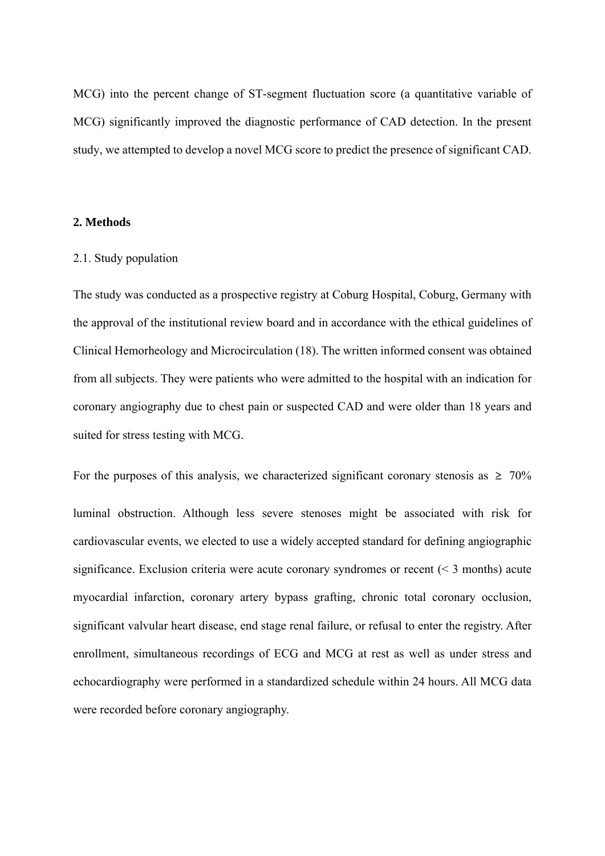MCG) into the percent change of ST-segment fluctuation score (a quantitative variable of MCG) significantly improved the diagnostic performance of CAD detection. In the present study, we attempted to develop a novel MCG score to predict the presence of significant CAD.

## **2. Methods**

## 2.1. Study population

The study was conducted as a prospective registry at Coburg Hospital, Coburg, Germany with the approval of the institutional review board and in accordance with the ethical guidelines of Clinical Hemorheology and Microcirculation (18). The written informed consent was obtained from all subjects. They were patients who were admitted to the hospital with an indication for coronary angiography due to chest pain or suspected CAD and were older than 18 years and suited for stress testing with MCG.

For the purposes of this analysis, we characterized significant coronary stenosis as  $\geq 70\%$ luminal obstruction. Although less severe stenoses might be associated with risk for cardiovascular events, we elected to use a widely accepted standard for defining angiographic significance. Exclusion criteria were acute coronary syndromes or recent (< 3 months) acute myocardial infarction, coronary artery bypass grafting, chronic total coronary occlusion, significant valvular heart disease, end stage renal failure, or refusal to enter the registry. After enrollment, simultaneous recordings of ECG and MCG at rest as well as under stress and echocardiography were performed in a standardized schedule within 24 hours. All MCG data were recorded before coronary angiography.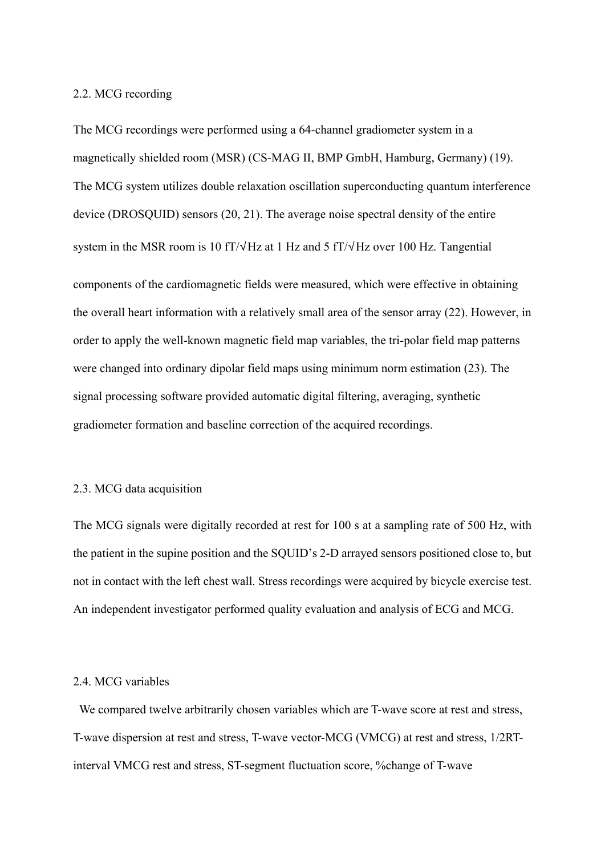## 2.2. MCG recording

The MCG recordings were performed using a 64-channel gradiometer system in a magnetically shielded room (MSR) (CS-MAG II, BMP GmbH, Hamburg, Germany) (19). The MCG system utilizes double relaxation oscillation superconducting quantum interference device (DROSQUID) sensors (20, 21). The average noise spectral density of the entire system in the MSR room is 10 fT/√Hz at 1 Hz and 5 fT/√Hz over 100 Hz. Tangential components of the cardiomagnetic fields were measured, which were effective in obtaining the overall heart information with a relatively small area of the sensor array (22). However, in order to apply the well-known magnetic field map variables, the tri-polar field map patterns were changed into ordinary dipolar field maps using minimum norm estimation (23). The signal processing software provided automatic digital filtering, averaging, synthetic gradiometer formation and baseline correction of the acquired recordings.

## 2.3. MCG data acquisition

The MCG signals were digitally recorded at rest for 100 s at a sampling rate of 500 Hz, with the patient in the supine position and the SQUID's 2-D arrayed sensors positioned close to, but not in contact with the left chest wall. Stress recordings were acquired by bicycle exercise test. An independent investigator performed quality evaluation and analysis of ECG and MCG.

## 2.4. MCG variables

We compared twelve arbitrarily chosen variables which are T-wave score at rest and stress, T-wave dispersion at rest and stress, T-wave vector-MCG (VMCG) at rest and stress, 1/2RTinterval VMCG rest and stress, ST-segment fluctuation score, %change of T-wave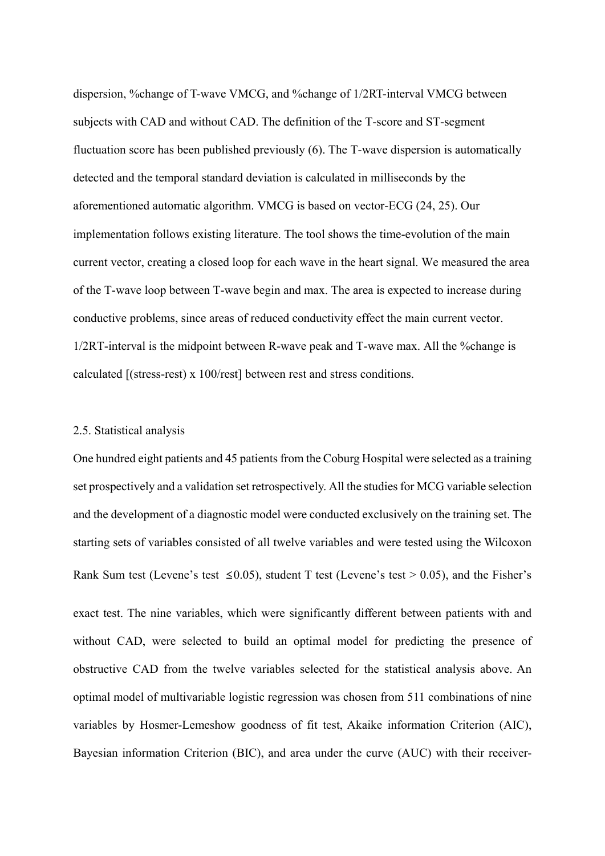dispersion, %change of T-wave VMCG, and %change of 1/2RT-interval VMCG between subjects with CAD and without CAD. The definition of the T-score and ST-segment fluctuation score has been published previously (6). The T-wave dispersion is automatically detected and the temporal standard deviation is calculated in milliseconds by the aforementioned automatic algorithm. VMCG is based on vector-ECG (24, 25). Our implementation follows existing literature. The tool shows the time-evolution of the main current vector, creating a closed loop for each wave in the heart signal. We measured the area of the T-wave loop between T-wave begin and max. The area is expected to increase during conductive problems, since areas of reduced conductivity effect the main current vector. 1/2RT-interval is the midpoint between R-wave peak and T-wave max. All the %change is calculated [(stress-rest) x 100/rest] between rest and stress conditions.

## 2.5. Statistical analysis

One hundred eight patients and 45 patients from the Coburg Hospital were selected as a training set prospectively and a validation set retrospectively. All the studies for MCG variable selection and the development of a diagnostic model were conducted exclusively on the training set. The starting sets of variables consisted of all twelve variables and were tested using the Wilcoxon Rank Sum test (Levene's test  $\leq 0.05$ ), student T test (Levene's test > 0.05), and the Fisher's exact test. The nine variables, which were significantly different between patients with and without CAD, were selected to build an optimal model for predicting the presence of obstructive CAD from the twelve variables selected for the statistical analysis above. An optimal model of multivariable logistic regression was chosen from 511 combinations of nine variables by Hosmer-Lemeshow goodness of fit test, Akaike information Criterion (AIC), Bayesian information Criterion (BIC), and area under the curve (AUC) with their receiver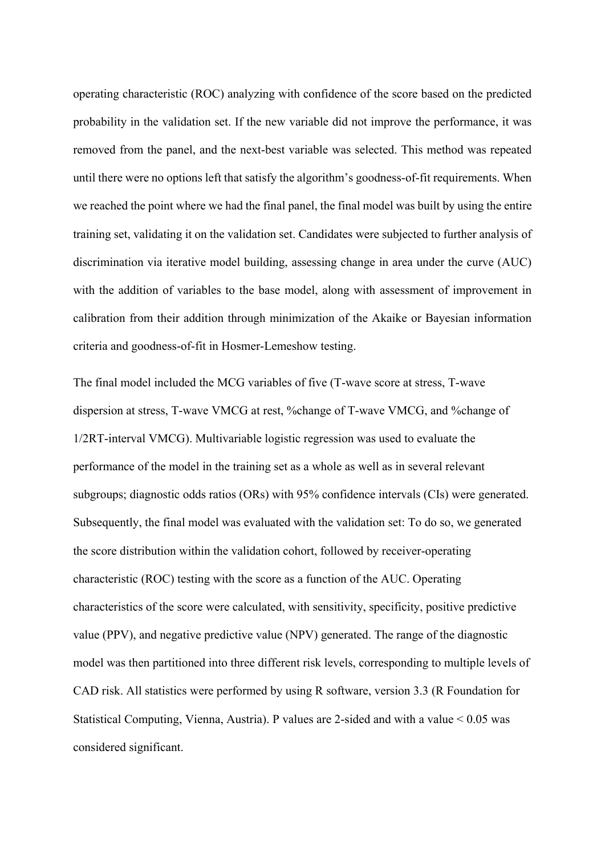operating characteristic (ROC) analyzing with confidence of the score based on the predicted probability in the validation set. If the new variable did not improve the performance, it was removed from the panel, and the next-best variable was selected. This method was repeated until there were no options left that satisfy the algorithm's goodness-of-fit requirements. When we reached the point where we had the final panel, the final model was built by using the entire training set, validating it on the validation set. Candidates were subjected to further analysis of discrimination via iterative model building, assessing change in area under the curve (AUC) with the addition of variables to the base model, along with assessment of improvement in calibration from their addition through minimization of the Akaike or Bayesian information criteria and goodness-of-fit in Hosmer-Lemeshow testing.

The final model included the MCG variables of five (T-wave score at stress, T-wave dispersion at stress, T-wave VMCG at rest, %change of T-wave VMCG, and %change of 1/2RT-interval VMCG). Multivariable logistic regression was used to evaluate the performance of the model in the training set as a whole as well as in several relevant subgroups; diagnostic odds ratios (ORs) with 95% confidence intervals (CIs) were generated. Subsequently, the final model was evaluated with the validation set: To do so, we generated the score distribution within the validation cohort, followed by receiver-operating characteristic (ROC) testing with the score as a function of the AUC. Operating characteristics of the score were calculated, with sensitivity, specificity, positive predictive value (PPV), and negative predictive value (NPV) generated. The range of the diagnostic model was then partitioned into three different risk levels, corresponding to multiple levels of CAD risk. All statistics were performed by using R software, version 3.3 (R Foundation for Statistical Computing, Vienna, Austria). P values are 2-sided and with a value < 0.05 was considered significant.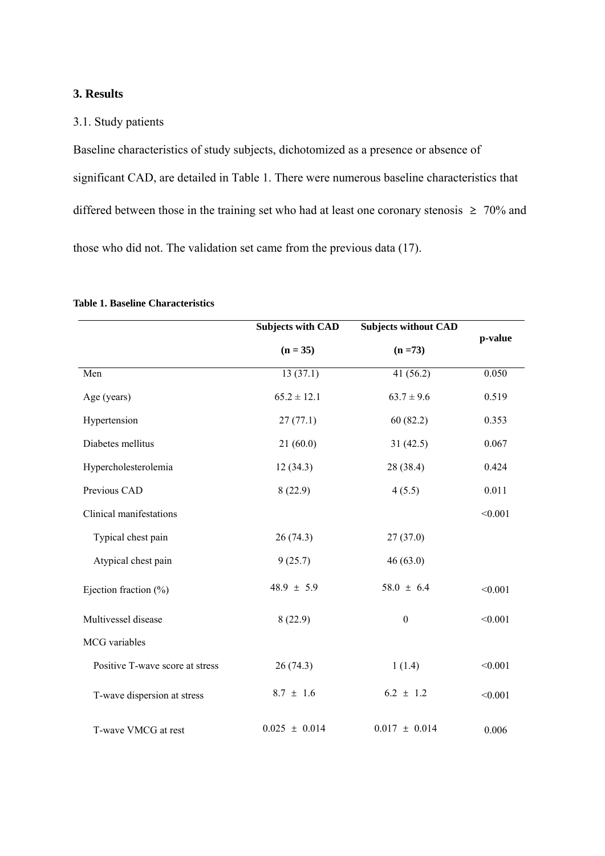## **3. Results**

## 3.1. Study patients

Baseline characteristics of study subjects, dichotomized as a presence or absence of significant CAD, are detailed in Table 1. There were numerous baseline characteristics that differed between those in the training set who had at least one coronary stenosis  $\geq 70\%$  and those who did not. The validation set came from the previous data (17).

|                                 | <b>Subjects without CAD</b><br><b>Subjects with CAD</b><br>$(n = 35)$<br>$(n = 73)$ |                   | p-value |  |
|---------------------------------|-------------------------------------------------------------------------------------|-------------------|---------|--|
|                                 |                                                                                     |                   |         |  |
| Men                             | 13(37.1)                                                                            | 41(56.2)          | 0.050   |  |
| Age (years)                     | $65.2 \pm 12.1$                                                                     | $63.7 \pm 9.6$    | 0.519   |  |
| Hypertension                    | 27(77.1)                                                                            | 60(82.2)          | 0.353   |  |
| Diabetes mellitus               | 21(60.0)                                                                            | 31(42.5)          | 0.067   |  |
| Hypercholesterolemia            | 12(34.3)                                                                            | 28 (38.4)         | 0.424   |  |
| Previous CAD                    | 8(22.9)                                                                             | 4(5.5)            | 0.011   |  |
| Clinical manifestations         |                                                                                     |                   | < 0.001 |  |
| Typical chest pain              | 26(74.3)                                                                            | 27(37.0)          |         |  |
| Atypical chest pain             | 9(25.7)                                                                             | 46(63.0)          |         |  |
| Ejection fraction (%)           | $48.9 \pm 5.9$                                                                      | $58.0 \pm 6.4$    | < 0.001 |  |
| Multivessel disease             | 8(22.9)<br>$\boldsymbol{0}$                                                         |                   | < 0.001 |  |
| MCG variables                   |                                                                                     |                   |         |  |
| Positive T-wave score at stress | 26(74.3)                                                                            | 1(1.4)            | < 0.001 |  |
| T-wave dispersion at stress     | $8.7 \pm 1.6$                                                                       | $6.2 \pm 1.2$     | < 0.001 |  |
| T-wave VMCG at rest             | $0.025 \pm 0.014$                                                                   | $0.017 \pm 0.014$ | 0.006   |  |

#### **Table 1. Baseline Characteristics**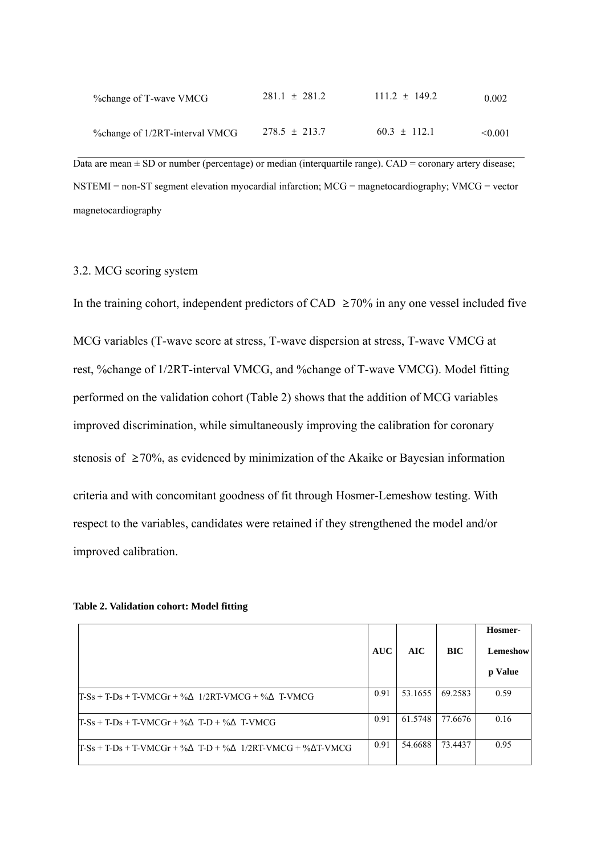| % ohange of T-wave VMCG        | $281.1 \pm 281.2$ | $111.2 \pm 149.2$ | 0.002   |
|--------------------------------|-------------------|-------------------|---------|
| %change of 1/2RT-interval VMCG | $278.5 \pm 213.7$ | $60.3 \pm 112.1$  | < 0.001 |

Data are mean  $\pm$  SD or number (percentage) or median (interquartile range). CAD = coronary artery disease; NSTEMI = non-ST segment elevation myocardial infarction; MCG = magnetocardiography; VMCG = vector magnetocardiography

### 3.2. MCG scoring system

In the training cohort, independent predictors of CAD  $\geq$  70% in any one vessel included five MCG variables (T-wave score at stress, T-wave dispersion at stress, T-wave VMCG at rest, %change of 1/2RT-interval VMCG, and %change of T-wave VMCG). Model fitting performed on the validation cohort (Table 2) shows that the addition of MCG variables improved discrimination, while simultaneously improving the calibration for coronary stenosis of ≥70%, as evidenced by minimization of the Akaike or Bayesian information criteria and with concomitant goodness of fit through Hosmer-Lemeshow testing. With respect to the variables, candidates were retained if they strengthened the model and/or improved calibration.

| Table 2. Validation cohort: Model fitting |  |  |  |  |
|-------------------------------------------|--|--|--|--|
|-------------------------------------------|--|--|--|--|

|                                                                             | <b>AUC</b> | AIC     | BIC     | Hosmer-<br>Lemeshow<br>p Value |
|-----------------------------------------------------------------------------|------------|---------|---------|--------------------------------|
| $T-Ss + T-Ds + T-VMCGr + \%A$ 1/2RT-VMCG + % $\Delta$ T-VMCG                | 0.91       | 53.1655 | 69.2583 | 0.59                           |
| $T-Ss + T-Ds + T-VMCGr + \% \Delta T-D + \% \Delta T-VMCG$                  | 0.91       | 61.5748 | 77.6676 | 0.16                           |
| $T-Ss + T-Ds + T-VMCGr + %\Delta T-D + %\Delta 1/2RT-VMCG + %\Delta T-VMCG$ | 0.91       | 54.6688 | 73.4437 | 0.95                           |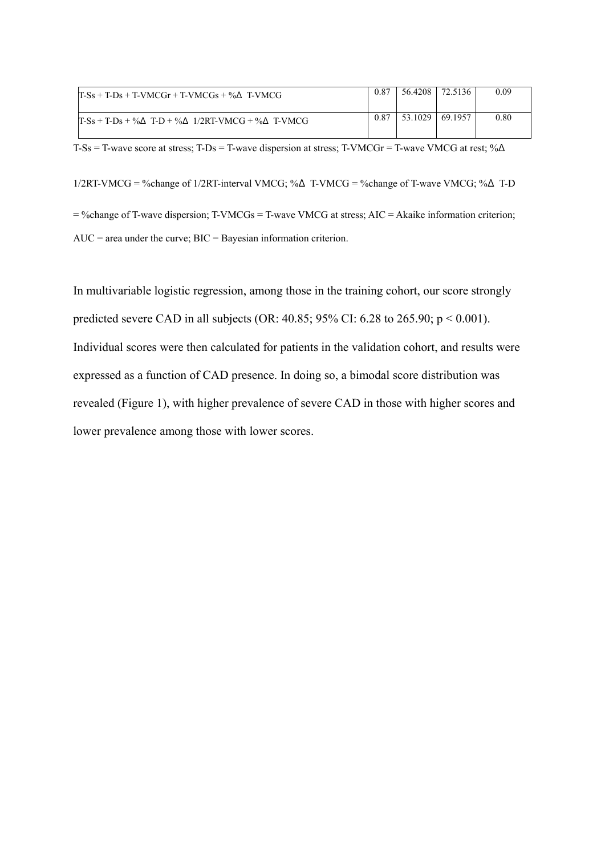| $T-Ss + T-Ds + T-WMCGr + T-WMCGs + %\Delta T-WMCG$     | 0.87 | 56.4208 | 72.5136         | 0.09 |
|--------------------------------------------------------|------|---------|-----------------|------|
| $T-Ss + T-Ds + \%$ T-D + $%$ A 1/2RT-VMCG + $%$ T-VMCG | 0.87 |         | 53.1029 69.1957 | 0.80 |

T-Ss = T-wave score at stress; T-Ds = T-wave dispersion at stress; T-VMCGr = T-wave VMCG at rest;  $\%$  $\Delta$ 

 $1/2RT-VMCG = \%$ change of  $1/2RT$ -interval VMCG; % $\Delta$  T-VMCG = %change of T-wave VMCG; % $\Delta$  T-D = %change of T-wave dispersion; T-VMCGs = T-wave VMCG at stress; AIC = Akaike information criterion; AUC = area under the curve; BIC = Bayesian information criterion.

In multivariable logistic regression, among those in the training cohort, our score strongly predicted severe CAD in all subjects (OR: 40.85; 95% CI: 6.28 to 265.90; p < 0.001). Individual scores were then calculated for patients in the validation cohort, and results were expressed as a function of CAD presence. In doing so, a bimodal score distribution was revealed (Figure 1), with higher prevalence of severe CAD in those with higher scores and lower prevalence among those with lower scores.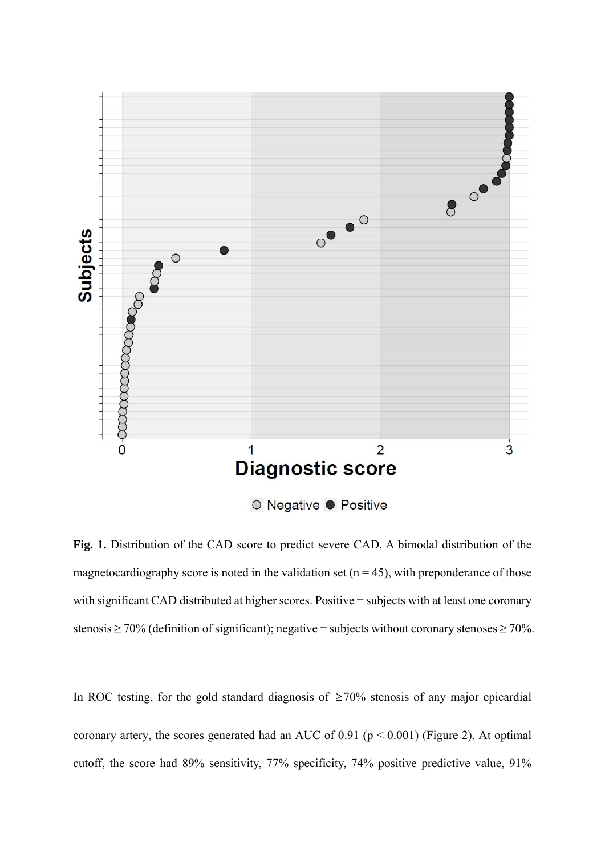

Fig. 1. Distribution of the CAD score to predict severe CAD. A bimodal distribution of the magnetocardiography score is noted in the validation set ( $n = 45$ ), with preponderance of those with significant CAD distributed at higher scores. Positive = subjects with at least one coronary stenosis  $\geq$  70% (definition of significant); negative = subjects without coronary stenoses  $\geq$  70%.

In ROC testing, for the gold standard diagnosis of  $\geq 70\%$  stenosis of any major epicardial coronary artery, the scores generated had an AUC of  $0.91$  ( $p < 0.001$ ) (Figure 2). At optimal cutoff, the score had 89% sensitivity, 77% specificity, 74% positive predictive value, 91%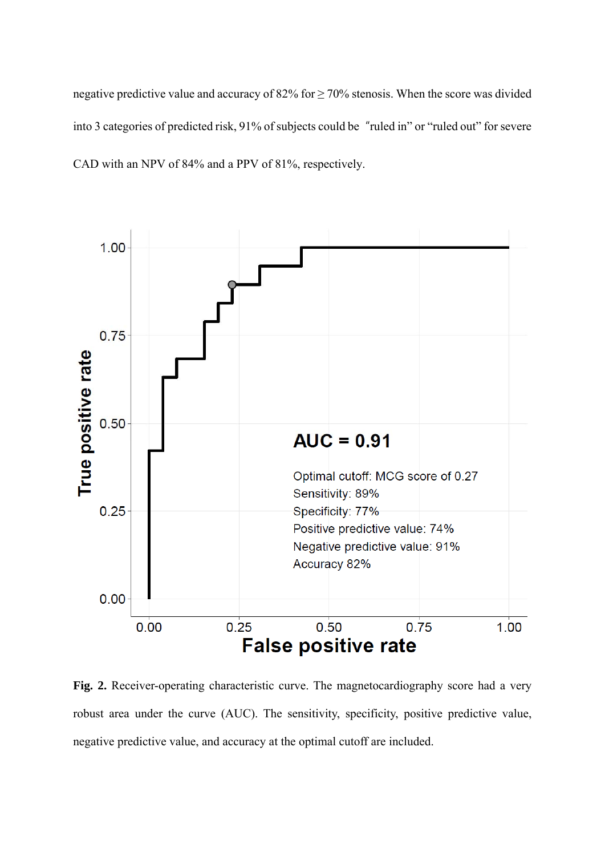negative predictive value and accuracy of 82% for  $\geq$  70% stenosis. When the score was divided into 3 categories of predicted risk, 91% of subjects could be "ruled in" or "ruled out" for severe CAD with an NPV of 84% and a PPV of 81%, respectively.



Fig. 2. Receiver-operating characteristic curve. The magnetocardiography score had a very robust area under the curve (AUC). The sensitivity, specificity, positive predictive value, negative predictive value, and accuracy at the optimal cutoff are included.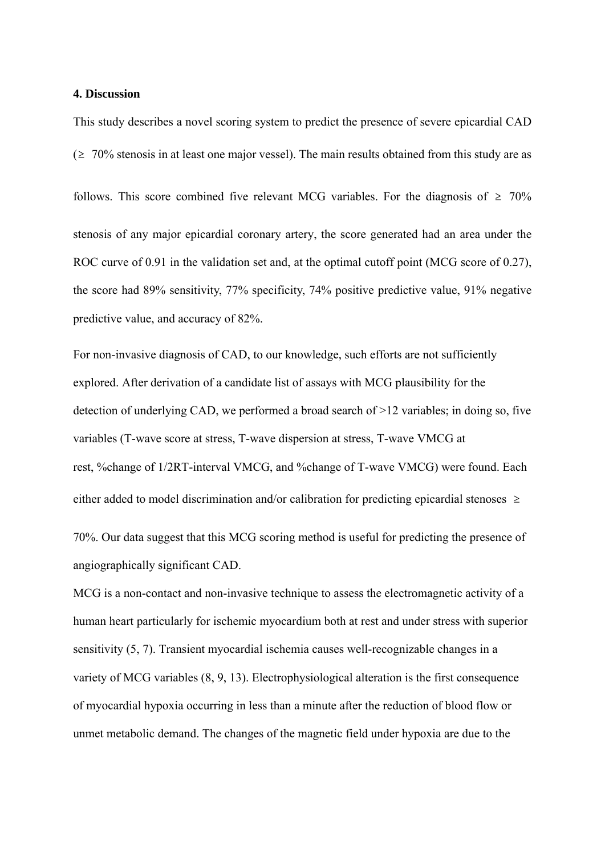### **4. Discussion**

This study describes a novel scoring system to predict the presence of severe epicardial CAD  $(2 \t 70\%$  stenosis in at least one major vessel). The main results obtained from this study are as follows. This score combined five relevant MCG variables. For the diagnosis of  $\geq 70\%$ stenosis of any major epicardial coronary artery, the score generated had an area under the ROC curve of 0.91 in the validation set and, at the optimal cutoff point (MCG score of 0.27), the score had 89% sensitivity, 77% specificity, 74% positive predictive value, 91% negative predictive value, and accuracy of 82%.

For non-invasive diagnosis of CAD, to our knowledge, such efforts are not sufficiently explored. After derivation of a candidate list of assays with MCG plausibility for the detection of underlying CAD, we performed a broad search of >12 variables; in doing so, five variables (T-wave score at stress, T-wave dispersion at stress, T-wave VMCG at rest, %change of 1/2RT-interval VMCG, and %change of T-wave VMCG) were found. Each either added to model discrimination and/or calibration for predicting epicardial stenoses  $\geq$ 

70%. Our data suggest that this MCG scoring method is useful for predicting the presence of angiographically significant CAD.

MCG is a non-contact and non-invasive technique to assess the electromagnetic activity of a human heart particularly for ischemic myocardium both at rest and under stress with superior sensitivity (5, 7). Transient myocardial ischemia causes well-recognizable changes in a variety of MCG variables (8, 9, 13). Electrophysiological alteration is the first consequence of myocardial hypoxia occurring in less than a minute after the reduction of blood flow or unmet metabolic demand. The changes of the magnetic field under hypoxia are due to the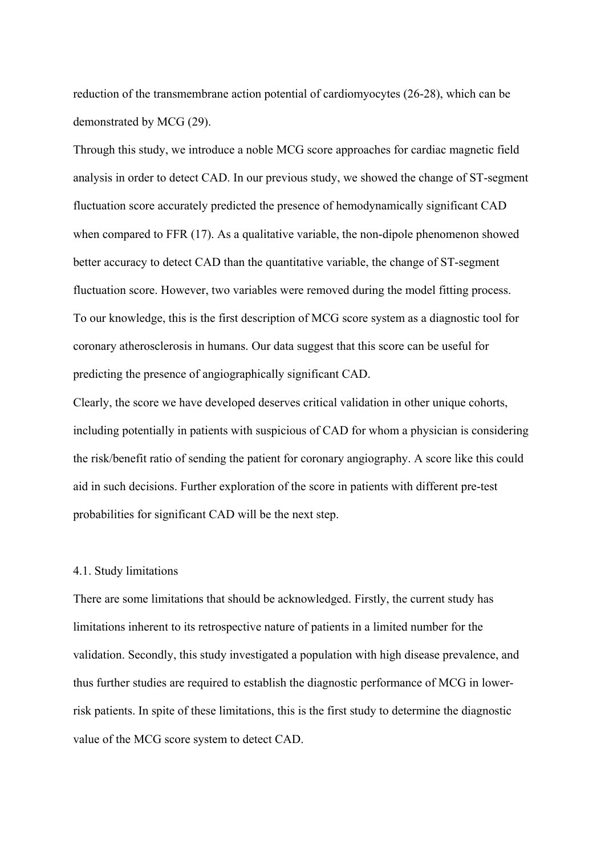reduction of the transmembrane action potential of cardiomyocytes (26-28), which can be demonstrated by MCG (29).

Through this study, we introduce a noble MCG score approaches for cardiac magnetic field analysis in order to detect CAD. In our previous study, we showed the change of ST-segment fluctuation score accurately predicted the presence of hemodynamically significant CAD when compared to FFR (17). As a qualitative variable, the non-dipole phenomenon showed better accuracy to detect CAD than the quantitative variable, the change of ST-segment fluctuation score. However, two variables were removed during the model fitting process. To our knowledge, this is the first description of MCG score system as a diagnostic tool for coronary atherosclerosis in humans. Our data suggest that this score can be useful for predicting the presence of angiographically significant CAD.

Clearly, the score we have developed deserves critical validation in other unique cohorts, including potentially in patients with suspicious of CAD for whom a physician is considering the risk/benefit ratio of sending the patient for coronary angiography. A score like this could aid in such decisions. Further exploration of the score in patients with different pre-test probabilities for significant CAD will be the next step.

#### 4.1. Study limitations

There are some limitations that should be acknowledged. Firstly, the current study has limitations inherent to its retrospective nature of patients in a limited number for the validation. Secondly, this study investigated a population with high disease prevalence, and thus further studies are required to establish the diagnostic performance of MCG in lowerrisk patients. In spite of these limitations, this is the first study to determine the diagnostic value of the MCG score system to detect CAD.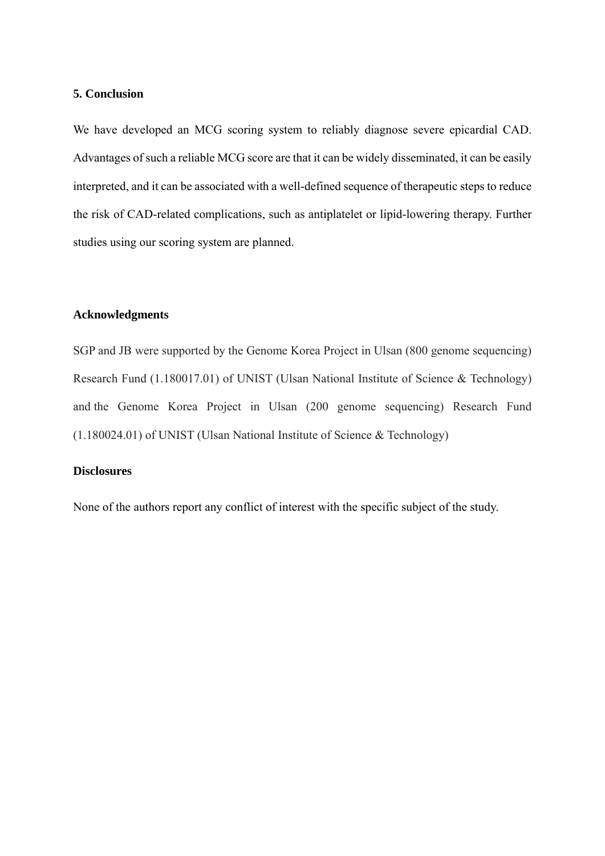### **5. Conclusion**

We have developed an MCG scoring system to reliably diagnose severe epicardial CAD. Advantages of such a reliable MCG score are that it can be widely disseminated, it can be easily interpreted, and it can be associated with a well-defined sequence of therapeutic steps to reduce the risk of CAD-related complications, such as antiplatelet or lipid-lowering therapy. Further studies using our scoring system are planned.

## **Acknowledgments**

SGP and JB were supported by the Genome Korea Project in Ulsan (800 genome sequencing) Research Fund (1.180017.01) of UNIST (Ulsan National Institute of Science & Technology) and the Genome Korea Project in Ulsan (200 genome sequencing) Research Fund (1.180024.01) of UNIST (Ulsan National Institute of Science & Technology)

## **Disclosures**

None of the authors report any conflict of interest with the specific subject of the study.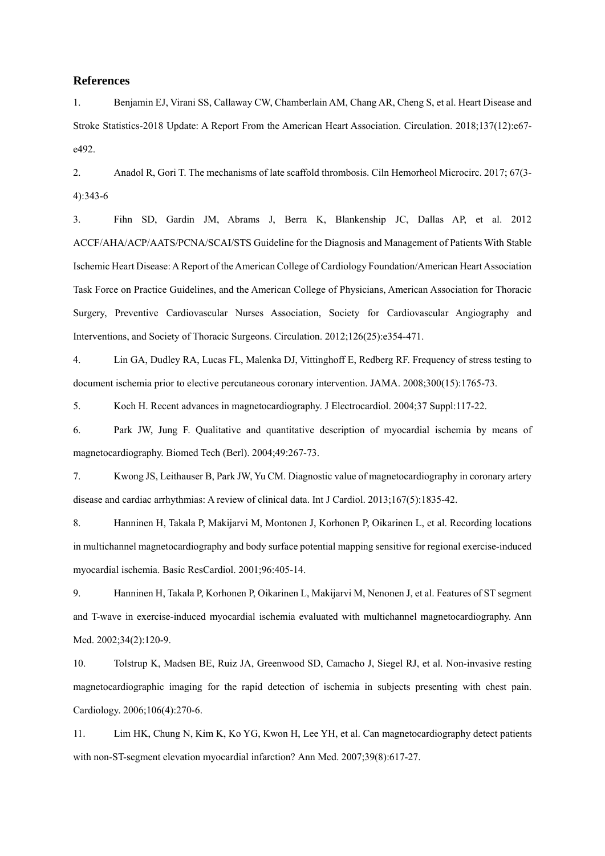### **References**

1. Benjamin EJ, Virani SS, Callaway CW, Chamberlain AM, Chang AR, Cheng S, et al. Heart Disease and Stroke Statistics-2018 Update: A Report From the American Heart Association. Circulation. 2018;137(12):e67 e492.

2. Anadol R, Gori T. The mechanisms of late scaffold thrombosis. Ciln Hemorheol Microcirc. 2017; 67(3- 4):343-6

3. Fihn SD, Gardin JM, Abrams J, Berra K, Blankenship JC, Dallas AP, et al. 2012 ACCF/AHA/ACP/AATS/PCNA/SCAI/STS Guideline for the Diagnosis and Management of Patients With Stable Ischemic Heart Disease: A Report of the American College of Cardiology Foundation/American Heart Association Task Force on Practice Guidelines, and the American College of Physicians, American Association for Thoracic Surgery, Preventive Cardiovascular Nurses Association, Society for Cardiovascular Angiography and Interventions, and Society of Thoracic Surgeons. Circulation. 2012;126(25):e354-471.

4. Lin GA, Dudley RA, Lucas FL, Malenka DJ, Vittinghoff E, Redberg RF. Frequency of stress testing to document ischemia prior to elective percutaneous coronary intervention. JAMA. 2008;300(15):1765-73.

5. Koch H. Recent advances in magnetocardiography. J Electrocardiol. 2004;37 Suppl:117-22.

6. Park JW, Jung F. Qualitative and quantitative description of myocardial ischemia by means of magnetocardiography. Biomed Tech (Berl). 2004;49:267-73.

7. Kwong JS, Leithauser B, Park JW, Yu CM. Diagnostic value of magnetocardiography in coronary artery disease and cardiac arrhythmias: A review of clinical data. Int J Cardiol. 2013;167(5):1835-42.

8. Hanninen H, Takala P, Makijarvi M, Montonen J, Korhonen P, Oikarinen L, et al. Recording locations in multichannel magnetocardiography and body surface potential mapping sensitive for regional exercise-induced myocardial ischemia. Basic ResCardiol. 2001;96:405-14.

9. Hanninen H, Takala P, Korhonen P, Oikarinen L, Makijarvi M, Nenonen J, et al. Features of ST segment and T-wave in exercise-induced myocardial ischemia evaluated with multichannel magnetocardiography. Ann Med. 2002;34(2):120-9.

10. Tolstrup K, Madsen BE, Ruiz JA, Greenwood SD, Camacho J, Siegel RJ, et al. Non-invasive resting magnetocardiographic imaging for the rapid detection of ischemia in subjects presenting with chest pain. Cardiology. 2006;106(4):270-6.

11. Lim HK, Chung N, Kim K, Ko YG, Kwon H, Lee YH, et al. Can magnetocardiography detect patients with non-ST-segment elevation myocardial infarction? Ann Med. 2007;39(8):617-27.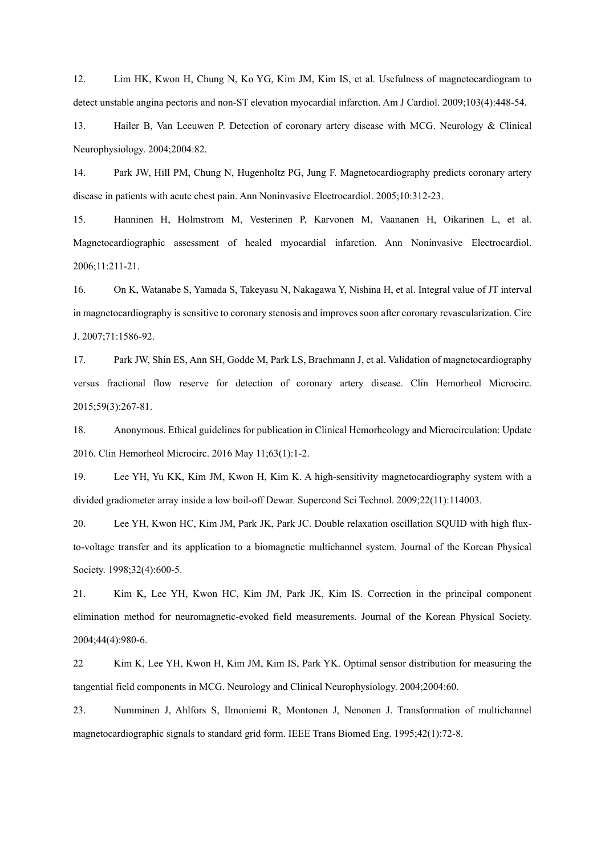12. Lim HK, Kwon H, Chung N, Ko YG, Kim JM, Kim IS, et al. Usefulness of magnetocardiogram to detect unstable angina pectoris and non-ST elevation myocardial infarction. Am J Cardiol. 2009;103(4):448-54.

13. Hailer B, Van Leeuwen P. Detection of coronary artery disease with MCG. Neurology & Clinical Neurophysiology. 2004;2004:82.

14. Park JW, Hill PM, Chung N, Hugenholtz PG, Jung F. Magnetocardiography predicts coronary artery disease in patients with acute chest pain. Ann Noninvasive Electrocardiol. 2005;10:312-23.

15. Hanninen H, Holmstrom M, Vesterinen P, Karvonen M, Vaananen H, Oikarinen L, et al. Magnetocardiographic assessment of healed myocardial infarction. Ann Noninvasive Electrocardiol. 2006;11:211-21.

16. On K, Watanabe S, Yamada S, Takeyasu N, Nakagawa Y, Nishina H, et al. Integral value of JT interval in magnetocardiography is sensitive to coronary stenosis and improves soon after coronary revascularization. Circ J. 2007;71:1586-92.

17. Park JW, Shin ES, Ann SH, Godde M, Park LS, Brachmann J, et al. Validation of magnetocardiography versus fractional flow reserve for detection of coronary artery disease. Clin Hemorheol Microcirc. 2015;59(3):267-81.

18. Anonymous. Ethical guidelines for publication in Clinical Hemorheology and Microcirculation: Update 2016. Clin Hemorheol Microcirc. 2016 May 11;63(1):1-2.

19. Lee YH, Yu KK, Kim JM, Kwon H, Kim K. A high-sensitivity magnetocardiography system with a divided gradiometer array inside a low boil-off Dewar. Supercond Sci Technol. 2009;22(11):114003.

20. Lee YH, Kwon HC, Kim JM, Park JK, Park JC. Double relaxation oscillation SQUID with high fluxto-voltage transfer and its application to a biomagnetic multichannel system. Journal of the Korean Physical Society. 1998;32(4):600-5.

21. Kim K, Lee YH, Kwon HC, Kim JM, Park JK, Kim IS. Correction in the principal component elimination method for neuromagnetic-evoked field measurements. Journal of the Korean Physical Society. 2004;44(4):980-6.

22 Kim K, Lee YH, Kwon H, Kim JM, Kim IS, Park YK. Optimal sensor distribution for measuring the tangential field components in MCG. Neurology and Clinical Neurophysiology. 2004;2004:60.

23. Numminen J, Ahlfors S, Ilmoniemi R, Montonen J, Nenonen J. Transformation of multichannel magnetocardiographic signals to standard grid form. IEEE Trans Biomed Eng. 1995;42(1):72-8.